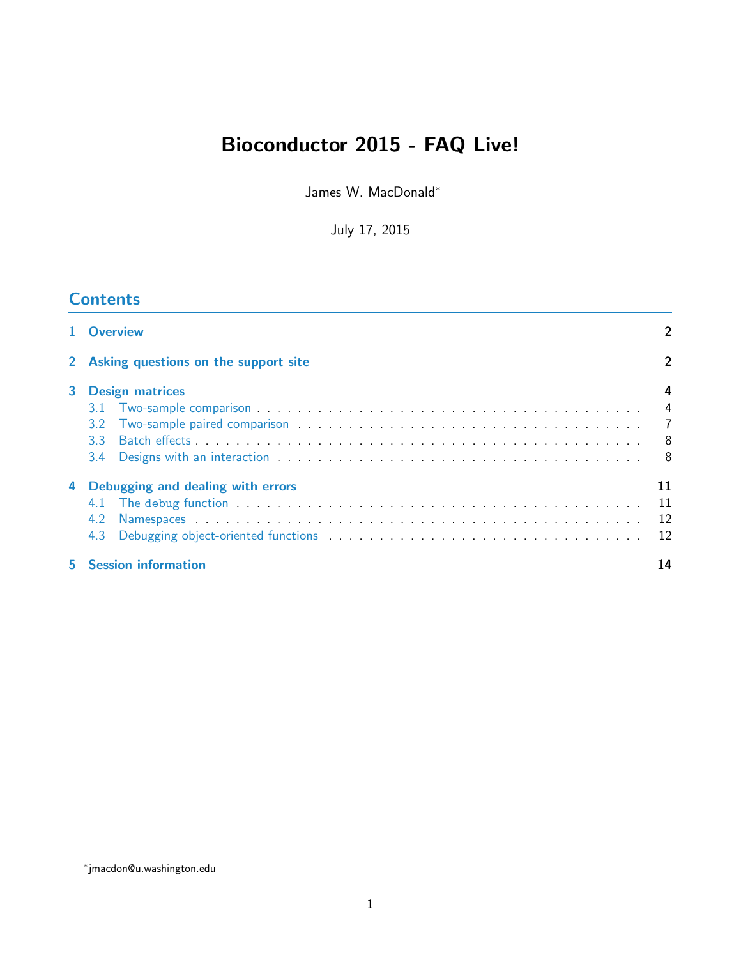# Bioconductor 2015 - FAQ Live!

James W. MacDonald<sup>∗</sup>

July 17, 2015

## **Contents**

| 1 Overview |                                   |                                        |                |  |  |  |
|------------|-----------------------------------|----------------------------------------|----------------|--|--|--|
|            |                                   | 2 Asking questions on the support site |                |  |  |  |
| 3          | <b>Design matrices</b>            |                                        |                |  |  |  |
|            |                                   |                                        | $\overline{4}$ |  |  |  |
|            | 3.2                               |                                        |                |  |  |  |
|            | 33                                |                                        |                |  |  |  |
|            | 3.4                               |                                        |                |  |  |  |
| 4          | Debugging and dealing with errors |                                        |                |  |  |  |
|            |                                   |                                        | 11             |  |  |  |
|            | 4.2                               |                                        | 12             |  |  |  |
|            | 4.3                               |                                        |                |  |  |  |
|            |                                   | <b>5</b> Session information           | 14             |  |  |  |

<sup>∗</sup> jmacdon@u.washington.edu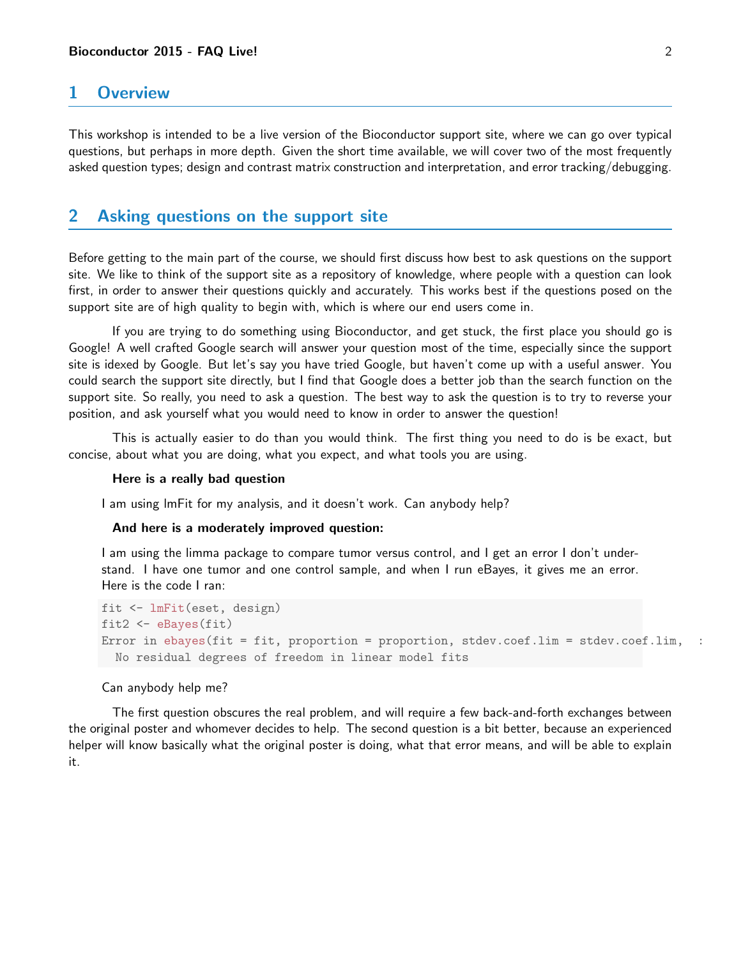### <span id="page-1-0"></span>1 Overview

This workshop is intended to be a live version of the Bioconductor support site, where we can go over typical questions, but perhaps in more depth. Given the short time available, we will cover two of the most frequently asked question types; design and contrast matrix construction and interpretation, and error tracking/debugging.

## <span id="page-1-1"></span>2 Asking questions on the support site

Before getting to the main part of the course, we should first discuss how best to ask questions on the support site. We like to think of the support site as a repository of knowledge, where people with a question can look first, in order to answer their questions quickly and accurately. This works best if the questions posed on the support site are of high quality to begin with, which is where our end users come in.

If you are trying to do something using Bioconductor, and get stuck, the first place you should go is Google! A well crafted Google search will answer your question most of the time, especially since the support site is idexed by Google. But let's say you have tried Google, but haven't come up with a useful answer. You could search the support site directly, but I find that Google does a better job than the search function on the support site. So really, you need to ask a question. The best way to ask the question is to try to reverse your position, and ask yourself what you would need to know in order to answer the question!

This is actually easier to do than you would think. The first thing you need to do is be exact, but concise, about what you are doing, what you expect, and what tools you are using.

#### Here is a really bad question

I am using lmFit for my analysis, and it doesn't work. Can anybody help?

#### And here is a moderately improved question:

I am using the limma package to compare tumor versus control, and I get an error I don't understand. I have one tumor and one control sample, and when I run eBayes, it gives me an error. Here is the code I ran:

```
fit <- lmFit(eset, design)
fit2 \leftarrow eBayes(fit)
Error in ebayes(fit = fit, proportion = proportion, stdev.coef.lim = stdev.coef.lim,
  No residual degrees of freedom in linear model fits
```
#### Can anybody help me?

The first question obscures the real problem, and will require a few back-and-forth exchanges between the original poster and whomever decides to help. The second question is a bit better, because an experienced helper will know basically what the original poster is doing, what that error means, and will be able to explain it.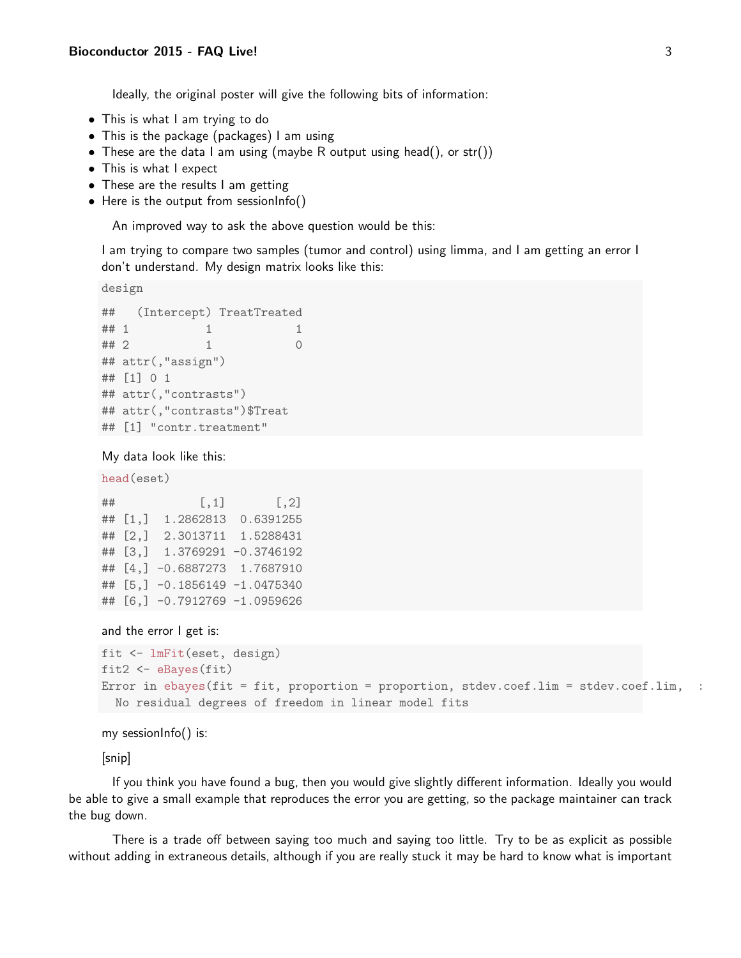Ideally, the original poster will give the following bits of information:

- This is what I am trying to do
- This is the package (packages) I am using
- These are the data I am using (maybe R output using head(), or  $str()$ )
- This is what I expect
- These are the results I am getting
- Here is the output from sessionInfo()

An improved way to ask the above question would be this:

I am trying to compare two samples (tumor and control) using limma, and I am getting an error I don't understand. My design matrix looks like this:

design

```
## (Intercept) TreatTreated
## 1 1 1
## 2 1 0
## attr(,"assign")
## [1] 0 1
## attr(,"contrasts")
## attr(,"contrasts")$Treat
## [1] "contr.treatment"
```
#### My data look like this:

head(eset)

```
\sharp # [, 1 [, 2 ]## [1,] 1.2862813 0.6391255
## [2,] 2.3013711 1.5288431
## [3,] 1.3769291 -0.3746192
## [4,] -0.6887273 1.7687910
## [5,] -0.1856149 -1.0475340
## [6,] -0.7912769 -1.0959626
```

```
and the error I get is:
```

```
fit <- lmFit(eset, design)
fit2 \leftarrow eBayes(fit)
Error in ebayes(fit = fit, proportion = proportion, stdev.coef.lim = stdev.coef.lim, :
 No residual degrees of freedom in linear model fits
```
my sessionInfo() is:

[snip]

If you think you have found a bug, then you would give slightly different information. Ideally you would be able to give a small example that reproduces the error you are getting, so the package maintainer can track the bug down.

There is a trade off between saying too much and saying too little. Try to be as explicit as possible without adding in extraneous details, although if you are really stuck it may be hard to know what is important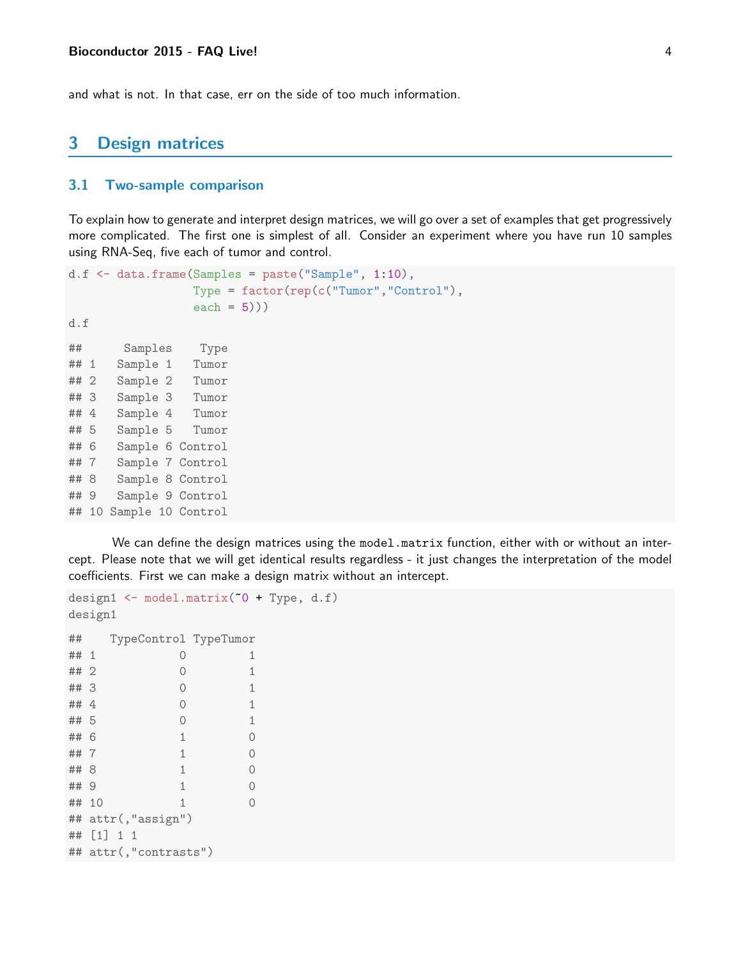and what is not. In that case, err on the side of too much information.

## <span id="page-3-0"></span>3 Design matrices

#### <span id="page-3-1"></span>3.1 Two-sample comparison

To explain how to generate and interpret design matrices, we will go over a set of examples that get progressively more complicated. The first one is simplest of all. Consider an experiment where you have run 10 samples using RNA-Seq, five each of tumor and control.

```
d.f \leq data.frame(Samples = paste("Sample", 1:10),
                Type = factor(rep(c("Tumor","Control"),
                each = 5))d.f
## Samples Type
## 1 Sample 1 Tumor
## 2 Sample 2 Tumor
## 3 Sample 3 Tumor
## 4 Sample 4 Tumor
## 5 Sample 5 Tumor
## 6 Sample 6 Control
## 7 Sample 7 Control
## 8 Sample 8 Control
## 9 Sample 9 Control
## 10 Sample 10 Control
```
We can define the design matrices using the model.matrix function, either with or without an intercept. Please note that we will get identical results regardless - it just changes the interpretation of the model coefficients. First we can make a design matrix without an intercept.

```
design1 \leq model.matrix(\infty + Type, d.f)
design1
## TypeControl TypeTumor
## 1 0 1
## 2 0 1
## 3 0 1
## 4 0 1
## 5 0 1
## 6 1 0
## 7 1 0
## 8 1 0
## 9 1 0
## 10 1 0
## attr(,"assign")
## [1] 1 1
## attr(,"contrasts")
```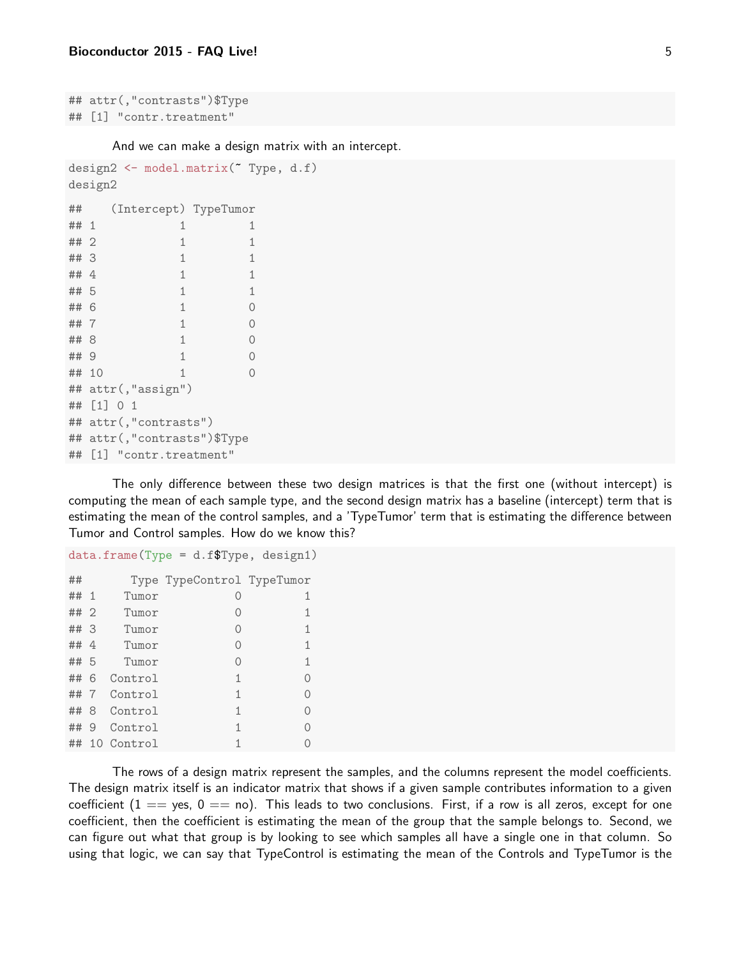```
## attr(,"contrasts")$Type
## [1] "contr.treatment"
```
And we can make a design matrix with an intercept.

```
design2 <- model.matrix(~ Type, d.f)
design2
## (Intercept) TypeTumor
## 1 1 1
## 2 1 1
## 3 1 1
## 4 1 1
## 5 1 1
## 6 1 0
## 7 1 0
## 8 1 0
## 9 1 0
## 10 1 0
## attr(,"assign")
## [1] 0 1
## attr(,"contrasts")
## attr(,"contrasts")$Type
## [1] "contr.treatment"
```
The only difference between these two design matrices is that the first one (without intercept) is computing the mean of each sample type, and the second design matrix has a baseline (intercept) term that is estimating the mean of the control samples, and a 'TypeTumor' term that is estimating the difference between Tumor and Control samples. How do we know this?

```
data.frame(Type = d.f$Type, design1)
## Type TypeControl TypeTumor
## 1 Tumor 0 1
## 2 Tumor 0 1
## 3 Tumor 0 1
## 4 Tumor 0 1
## 5 Tumor 0 1
## 6 Control 1 0
## 7 Control 1 0
## 8 Control 1 0
## 9 Control 1 0
## 10 Control 1 0
```
The rows of a design matrix represent the samples, and the columns represent the model coefficients. The design matrix itself is an indicator matrix that shows if a given sample contributes information to a given coefficient  $(1 == yes, 0 == no)$ . This leads to two conclusions. First, if a row is all zeros, except for one coefficient, then the coefficient is estimating the mean of the group that the sample belongs to. Second, we can figure out what that group is by looking to see which samples all have a single one in that column. So using that logic, we can say that TypeControl is estimating the mean of the Controls and TypeTumor is the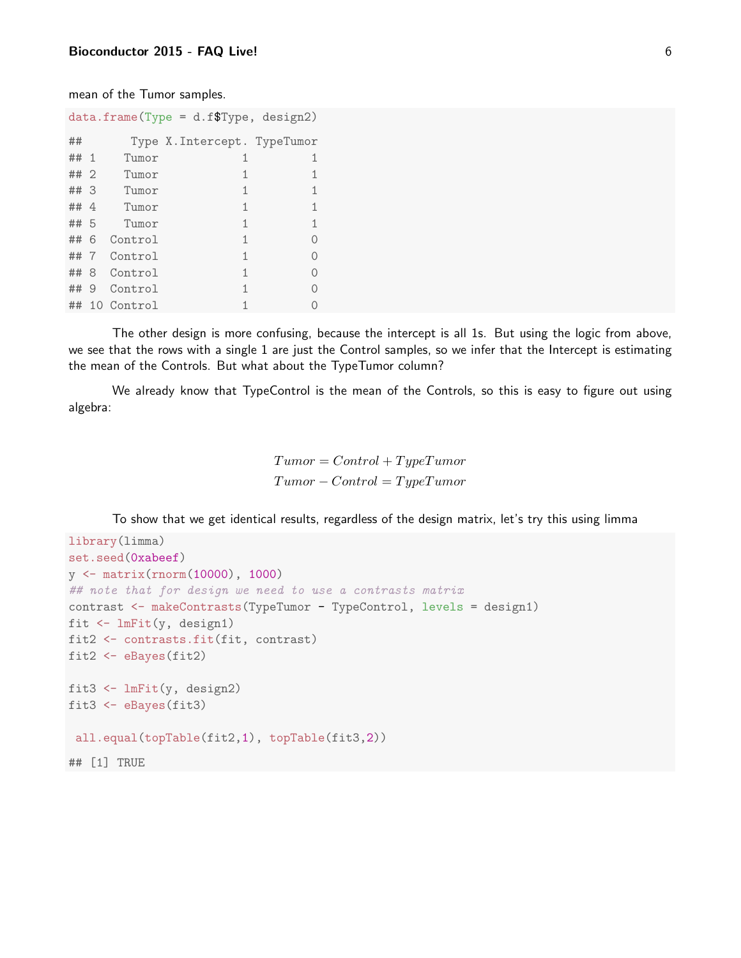#### Bioconductor 2015 - FAQ Live! 6

mean of the Tumor samples.

| $data-frame(Type = d.f$Type, design2)$ |      |                   |                              |   |
|----------------------------------------|------|-------------------|------------------------------|---|
| ##                                     |      |                   | Type X. Intercept. TypeTumor |   |
| ## 1                                   |      | Tumor             | 1                            | 1 |
| ## 2                                   |      | Tumor             | 1                            | 1 |
| ##3                                    |      | Tumor             | 1                            | 1 |
| ## 4                                   |      | Tumor             | 1                            | 1 |
| ## 5                                   |      | Tumor             | 1                            | 1 |
| ## 6                                   |      | Control           | 1                            | 0 |
|                                        |      | ## 7 Control      | 1                            | 0 |
|                                        |      | ## 8 Control      | 1                            | 0 |
|                                        | ## 9 | Control           | 1                            | ∩ |
|                                        |      | $\#$ # 10 Control |                              |   |

The other design is more confusing, because the intercept is all 1s. But using the logic from above, we see that the rows with a single 1 are just the Control samples, so we infer that the Intercept is estimating the mean of the Controls. But what about the TypeTumor column?

We already know that TypeControl is the mean of the Controls, so this is easy to figure out using algebra:

> $Tumor = Control + TypeTumor$  $Tumor - Control = TypeTumor$

To show that we get identical results, regardless of the design matrix, let's try this using limma

```
library(limma)
set.seed(0xabeef)
y <- matrix(rnorm(10000), 1000)
## note that for design we need to use a contrasts matrix
contrast <- makeContrasts(TypeTumor - TypeControl, levels = design1)
fit <- lmFit(y, design1)
fit2 <- contrasts.fit(fit, contrast)
fit2 <- eBayes(fit2)
fit3 <- lmFit(y, design2)
fit3 <- eBayes(fit3)
all.equal(topTable(fit2,1), topTable(fit3,2))
## [1] TRUE
```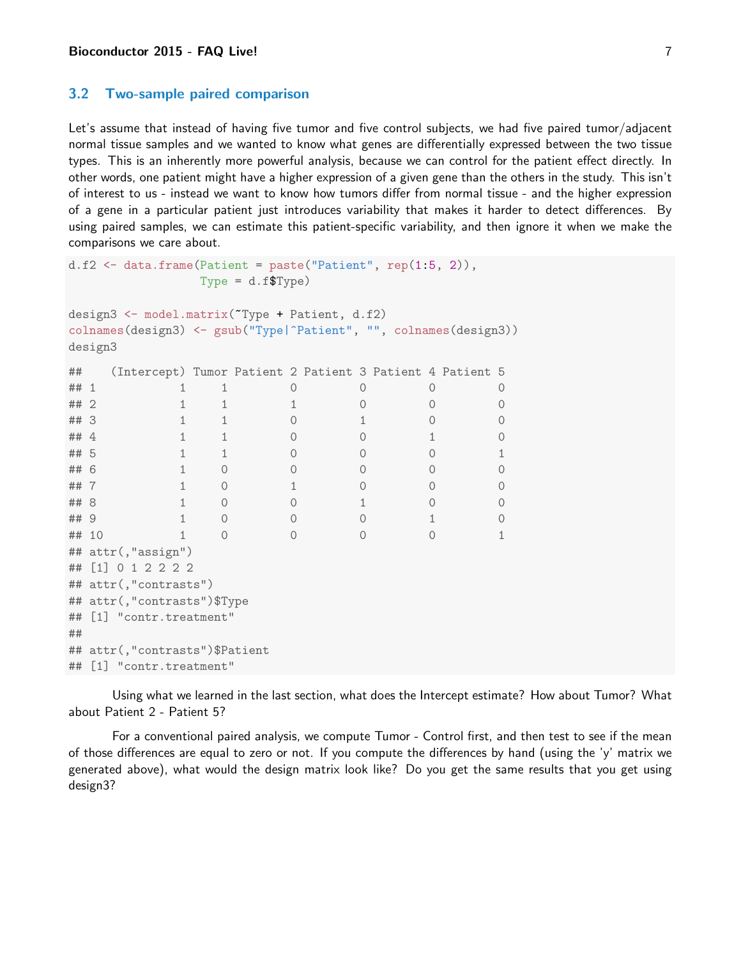#### <span id="page-6-0"></span>3.2 Two-sample paired comparison

Let's assume that instead of having five tumor and five control subjects, we had five paired tumor/adjacent normal tissue samples and we wanted to know what genes are differentially expressed between the two tissue types. This is an inherently more powerful analysis, because we can control for the patient effect directly. In other words, one patient might have a higher expression of a given gene than the others in the study. This isn't of interest to us - instead we want to know how tumors differ from normal tissue - and the higher expression of a gene in a particular patient just introduces variability that makes it harder to detect differences. By using paired samples, we can estimate this patient-specific variability, and then ignore it when we make the comparisons we care about.

```
d.f2 \leftarrow data.frame(Patient = paste("Patient", rep(1:5, 2)),
          Type = d.f$Type)design3 <- model.matrix(~Type + Patient, d.f2)
colnames(design3) <- gsub("Type|^Patient", "", colnames(design3))
design3
## (Intercept) Tumor Patient 2 Patient 3 Patient 4 Patient 5
## 1 1 1 0 0 0 0 0
## 2 1 1 1 0 0 0
## 3 1 1 0 1 0 0
## 4 1 1 0 0 1 0
## 5 1 1 0 0 0 1
## 6 1 0 0 0 0 0
## 7 1 0 1 0 0 0
## 8 1 0 0 1 0 0
## 9 1 0 0 0 1 0
## 10 1 0 0 0 0 1
## attr(,"assign")
## [1] 0 1 2 2 2 2
## attr(,"contrasts")
## attr(,"contrasts")$Type
## [1] "contr.treatment"
##
## attr(,"contrasts")$Patient
## [1] "contr.treatment"
```
Using what we learned in the last section, what does the Intercept estimate? How about Tumor? What about Patient 2 - Patient 5?

<span id="page-6-1"></span>For a conventional paired analysis, we compute Tumor - Control first, and then test to see if the mean of those differences are equal to zero or not. If you compute the differences by hand (using the 'y' matrix we generated above), what would the design matrix look like? Do you get the same results that you get using design3?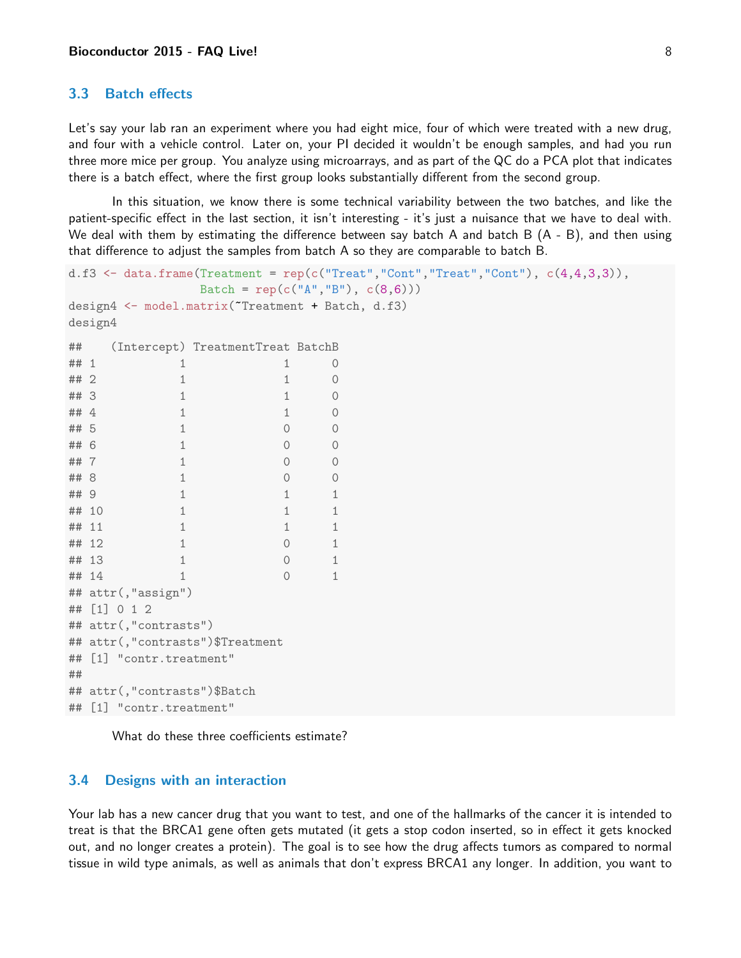#### 3.3 Batch effects

Let's say your lab ran an experiment where you had eight mice, four of which were treated with a new drug, and four with a vehicle control. Later on, your PI decided it wouldn't be enough samples, and had you run three more mice per group. You analyze using microarrays, and as part of the QC do a PCA plot that indicates there is a batch effect, where the first group looks substantially different from the second group.

In this situation, we know there is some technical variability between the two batches, and like the patient-specific effect in the last section, it isn't interesting - it's just a nuisance that we have to deal with. We deal with them by estimating the difference between say batch A and batch B (A - B), and then using that difference to adjust the samples from batch A so they are comparable to batch B.

```
d.f3 <- data.frame(Treatment = rep(c("Treat","Cont","Treat","Cont"), c(4,4,3,3)),
                   Batch = rep(c("A", "B"), c(8,6)))design4 <- model.matrix(~Treatment + Batch, d.f3)
design4
```

| ##    |                                  | (Intercept) TreatmentTreat BatchB |                |  |  |
|-------|----------------------------------|-----------------------------------|----------------|--|--|
| ## 1  | 1                                | 1                                 | 0              |  |  |
| ##2   | $\mathbf{1}$                     | 1                                 | 0              |  |  |
| ## 3  | 1                                | 1                                 | 0              |  |  |
| ## 4  | 1                                | $\mathbf{1}$                      | 0              |  |  |
| ## 5  | 1                                | 0                                 | $\overline{0}$ |  |  |
| ## 6  | 1                                | $\Omega$                          | 0              |  |  |
| ## 7  | 1                                | $\Omega$                          | 0              |  |  |
| ## 8  | $\mathbf{1}$                     | $\Omega$                          | 0              |  |  |
| ## 9  | 1                                | 1                                 | $\mathbf{1}$   |  |  |
| ## 10 | $\mathbf{1}$                     | $\mathbf{1}$                      | $\mathbf{1}$   |  |  |
| ## 11 | 1                                | 1                                 | $\mathbf{1}$   |  |  |
| ## 12 | 1                                | 0                                 | $\mathbf{1}$   |  |  |
| ## 13 | $\mathbf{1}$                     | 0                                 | $\mathbf{1}$   |  |  |
| ## 14 | 1                                | 0                                 | $\mathbf{1}$   |  |  |
|       | ## attr(,"assign")               |                                   |                |  |  |
|       | ## [1] 0 1 2                     |                                   |                |  |  |
|       | ## attr(,"contrasts")            |                                   |                |  |  |
|       | ## attr(,"contrasts")\$Treatment |                                   |                |  |  |
|       | ## [1] "contr.treatment"         |                                   |                |  |  |
| ##    |                                  |                                   |                |  |  |
|       | ## attr(,"contrasts")\$Batch     |                                   |                |  |  |
|       | ## [1] "contr.treatment"         |                                   |                |  |  |

What do these three coefficients estimate?

#### <span id="page-7-0"></span>3.4 Designs with an interaction

Your lab has a new cancer drug that you want to test, and one of the hallmarks of the cancer it is intended to treat is that the BRCA1 gene often gets mutated (it gets a stop codon inserted, so in effect it gets knocked out, and no longer creates a protein). The goal is to see how the drug affects tumors as compared to normal tissue in wild type animals, as well as animals that don't express BRCA1 any longer. In addition, you want to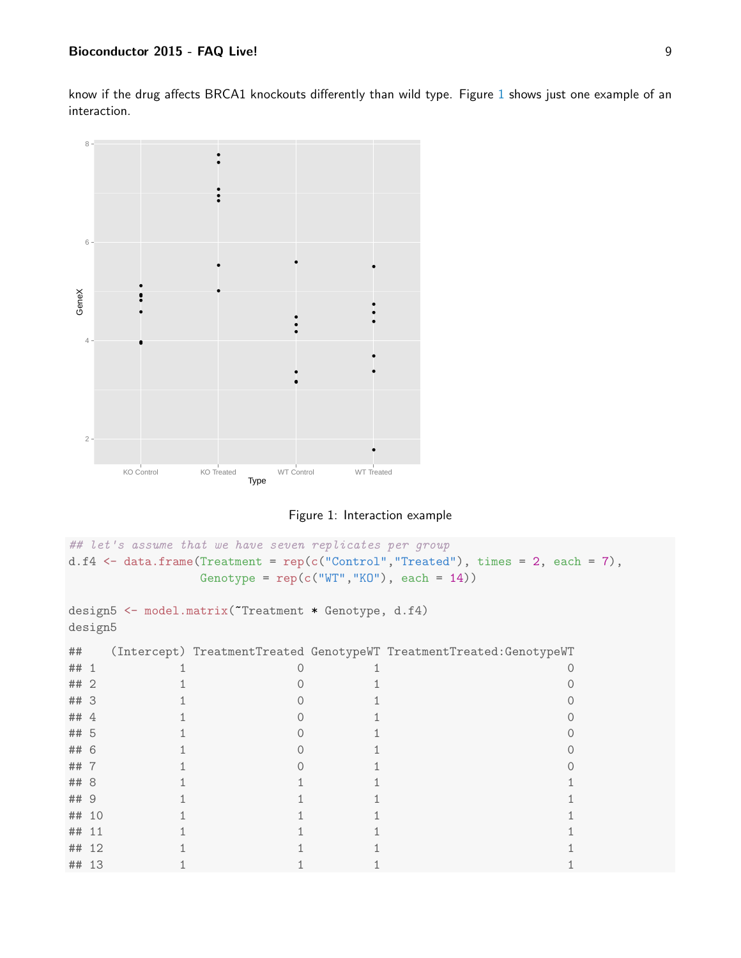know if the drug affects BRCA1 knockouts differently than wild type. Figure [1](#page-8-0) shows just one example of an interaction.



<span id="page-8-0"></span>Figure 1: Interaction example

```
## let's assume that we have seven replicates per group
d.f4 \leftarrow data.frame(Treatment = rep(c("Control","Treated"), times = 2, each = 7),
       Genotype = rep(c("WT", "KO"), each = 14))
design5 <- model.matrix(~Treatment * Genotype, d.f4)
design5
## (Intercept) TreatmentTreated GenotypeWT TreatmentTreated:GenotypeWT
## 1 1 0 1 0
\# 2 1 0 1 0 0 1
\# 3 1 0 1 0 0 1
\# 4 1 0 1 0 1
\# 5 1 0 1 0 1
## 6 1 0 1 0 0 1
## 7 1 0 1 0 0
## 8 1 1 1 1
## 9 1 1 1 1
\# 10 1 1 1 1 1 1
## 11 1 1 1 1
\# 12 1 1 1 1 1 1
\# 13 1 1 1 1 1 1 1
```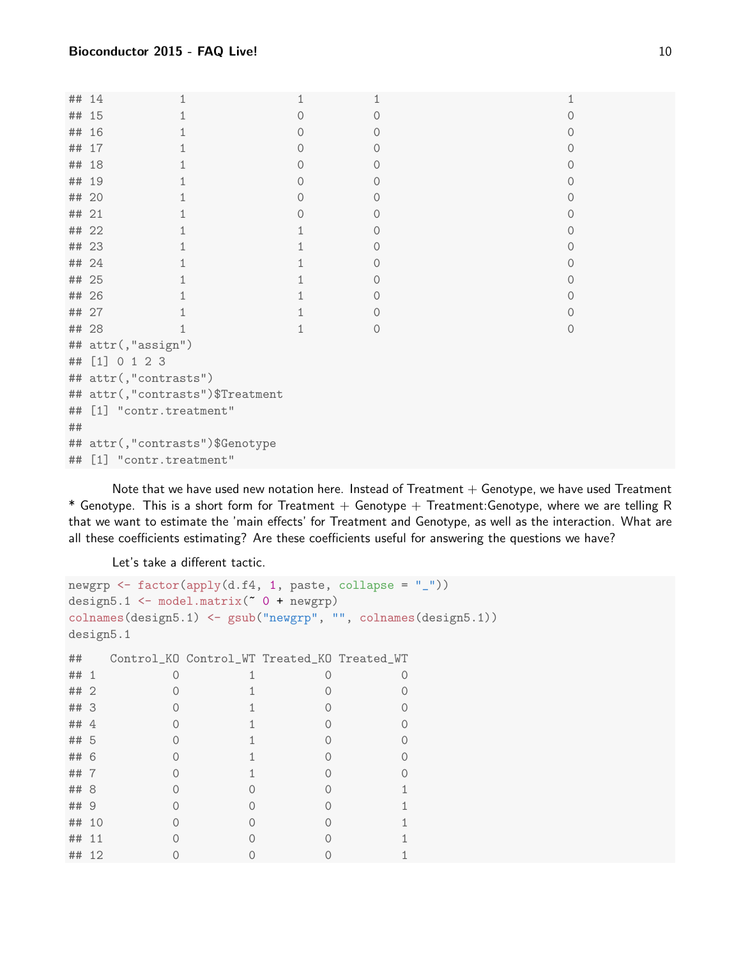|    | ## 14                            |  |        |               |                  |  |
|----|----------------------------------|--|--------|---------------|------------------|--|
|    | ## 15                            |  |        | Ω             |                  |  |
|    | ## 16                            |  |        | $\Omega$      |                  |  |
|    | ## 17                            |  | Ω      | 0             |                  |  |
|    | ## 18                            |  |        | 0             |                  |  |
|    | ## 19                            |  |        | 0             |                  |  |
|    | ## 20                            |  | $\cap$ | $\mathcal{O}$ |                  |  |
|    | ## 21                            |  |        | 0             |                  |  |
|    | ## 22                            |  |        | $\Omega$      |                  |  |
|    | ## 23                            |  |        | $\Omega$      |                  |  |
|    | ## 24                            |  |        | $\Omega$      |                  |  |
|    | ## 25                            |  |        | 0             |                  |  |
|    | ## 26                            |  |        | 0             |                  |  |
|    | ## 27                            |  |        | 0             |                  |  |
|    | ## 28                            |  |        | $\mathcal{O}$ | $\left( \right)$ |  |
|    | ## attr(,"assign")               |  |        |               |                  |  |
| ## | [1] 0 1 2 3                      |  |        |               |                  |  |
|    | ## attr(,"contrasts")            |  |        |               |                  |  |
|    | ## attr(,"contrasts")\$Treatment |  |        |               |                  |  |
| ## | [1] "contr.treatment"            |  |        |               |                  |  |
| ## |                                  |  |        |               |                  |  |
|    | ## attr(,"contrasts")\$Genotype  |  |        |               |                  |  |
| ## | [1] "contr.treatment"            |  |        |               |                  |  |

Note that we have used new notation here. Instead of Treatment  $+$  Genotype, we have used Treatment \* Genotype. This is a short form for Treatment  $+$  Genotype  $+$  Treatment: Genotype, where we are telling R that we want to estimate the 'main effects' for Treatment and Genotype, as well as the interaction. What are all these coefficients estimating? Are these coefficients useful for answering the questions we have?

Let's take a different tactic.

```
newgrp <- factor(apply(d.f4, 1, paste, collapse = "_"))
design5.1 \leftarrow model.matrix(" 0 + newgrp)colnames(design5.1) <- gsub("newgrp", "", colnames(design5.1))
design5.1
## Control_KO Control_WT Treated_KO Treated_WT
## 1 0 1 0 0
## 2 0 1 0 0
## 3 0 1 0 0
## 4 0 1 0 0
## 5 0 1 0 0
## 6 0 1 0 0
## 7 0 1 0 0
## 8 0 0 0 1
## 9 0 0 0 1
## 10 0 0 0 1
## 11 0 0 0 1
## 12 0 0 0 1
```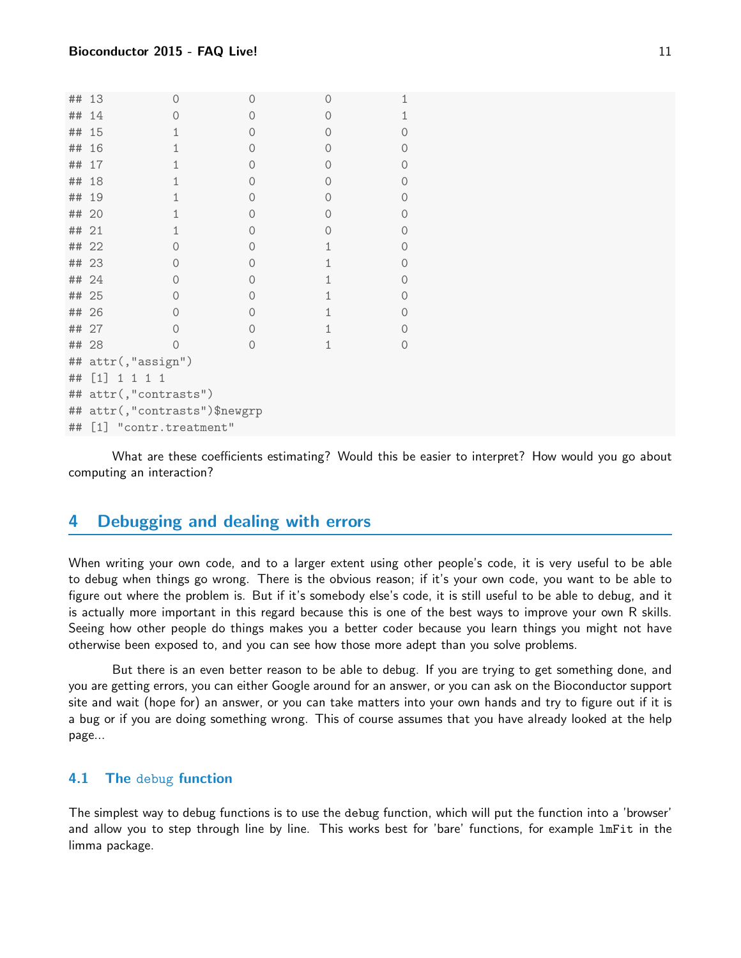| ## 13 |                            | Ω        | Ω        | 0              | 1        |
|-------|----------------------------|----------|----------|----------------|----------|
| ##    | 14                         | $\Omega$ | $\Omega$ | $\mathcal{O}$  | 1        |
| ##    | 15                         | 1        | $\Omega$ | $\mathcal{O}$  | $\Omega$ |
| ##    | 16                         | 1        | 0        | $\mathcal{O}$  | 0        |
| ##    | 17                         | 1        | 0        | $\mathcal{O}$  | $\Omega$ |
| ##    | 18                         | 1        | 0        | $\mathcal{O}$  | $\Omega$ |
| ##    | 19                         | 1        | 0        | $\overline{0}$ | $\Omega$ |
| ##    | 20                         | 1        | $\Omega$ | $\overline{0}$ | $\Omega$ |
| ##    | 21                         | 1        | 0        | $\overline{0}$ | $\Omega$ |
| ## 22 |                            | ∩        | $\Omega$ | $\mathbf{1}$   | $\Omega$ |
| ## 23 |                            | $\Omega$ | 0        | $\mathbf{1}$   | $\Omega$ |
| ## 24 |                            | $\Omega$ | $\Omega$ | 1              | $\Omega$ |
| ## 25 |                            | $\Omega$ | 0        | 1              | 0        |
| ## 26 |                            | $\Omega$ | 0        | $\mathbf{1}$   | 0        |
| ## 27 |                            | $\Omega$ | $\Omega$ | $\mathbf{1}$   | 0        |
| ## 28 |                            | 0        | 0        | 1              | $\Omega$ |
|       | ## attr(,"assign")         |          |          |                |          |
| ##    | $[1] 1$<br>1 1<br>- 1      |          |          |                |          |
| ##    | $attr($ , "contrasts")     |          |          |                |          |
| ##    | attr(,"contrasts")\$newgrp |          |          |                |          |
| ##    | [1] "contr.treatment"      |          |          |                |          |

What are these coefficients estimating? Would this be easier to interpret? How would you go about computing an interaction?

### <span id="page-10-0"></span>4 Debugging and dealing with errors

When writing your own code, and to a larger extent using other people's code, it is very useful to be able to debug when things go wrong. There is the obvious reason; if it's your own code, you want to be able to figure out where the problem is. But if it's somebody else's code, it is still useful to be able to debug, and it is actually more important in this regard because this is one of the best ways to improve your own R skills. Seeing how other people do things makes you a better coder because you learn things you might not have otherwise been exposed to, and you can see how those more adept than you solve problems.

But there is an even better reason to be able to debug. If you are trying to get something done, and you are getting errors, you can either Google around for an answer, or you can ask on the Bioconductor support site and wait (hope for) an answer, or you can take matters into your own hands and try to figure out if it is a bug or if you are doing something wrong. This of course assumes that you have already looked at the help page...

#### <span id="page-10-1"></span>4.1 The debug function

The simplest way to debug functions is to use the debug function, which will put the function into a 'browser' and allow you to step through line by line. This works best for 'bare' functions, for example lmFit in the limma package.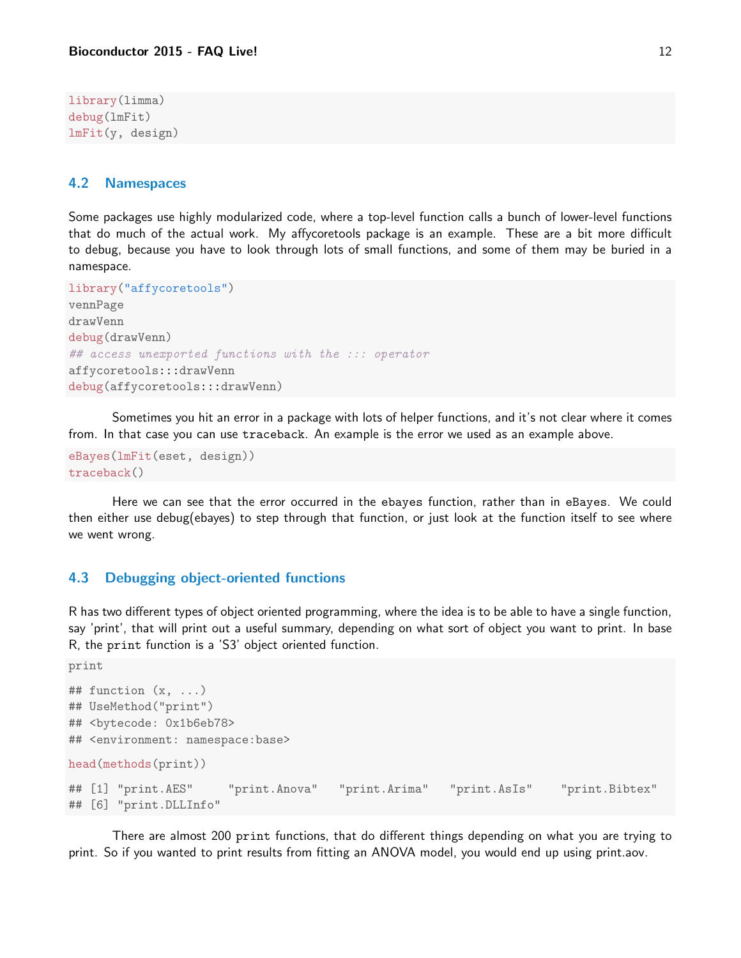library(limma) debug(lmFit) lmFit(y, design)

#### <span id="page-11-0"></span>4.2 Namespaces

Some packages use highly modularized code, where a top-level function calls a bunch of lower-level functions that do much of the actual work. My affycoretools package is an example. These are a bit more difficult to debug, because you have to look through lots of small functions, and some of them may be buried in a namespace.

```
library("affycoretools")
vennPage
drawVenn
debug(drawVenn)
## access unexported functions with the ::: operator
affycoretools:::drawVenn
debug(affycoretools:::drawVenn)
```
Sometimes you hit an error in a package with lots of helper functions, and it's not clear where it comes from. In that case you can use traceback. An example is the error we used as an example above.

```
eBayes(lmFit(eset, design))
traceback()
```
Here we can see that the error occurred in the ebayes function, rather than in eBayes. We could then either use debug(ebayes) to step through that function, or just look at the function itself to see where we went wrong.

#### <span id="page-11-1"></span>4.3 Debugging object-oriented functions

R has two different types of object oriented programming, where the idea is to be able to have a single function, say 'print', that will print out a useful summary, depending on what sort of object you want to print. In base R, the print function is a 'S3' object oriented function.

```
print
## function (x, \ldots)## UseMethod("print")
## <bytecode: 0x1b6eb78>
## <environment: namespace:base>
head(methods(print))
## [1] "print.AES" "print.Anova" "print.Arima" "print.AsIs" "print.Bibtex"
## [6] "print.DLLInfo"
```
There are almost 200 print functions, that do different things depending on what you are trying to print. So if you wanted to print results from fitting an ANOVA model, you would end up using print.aov.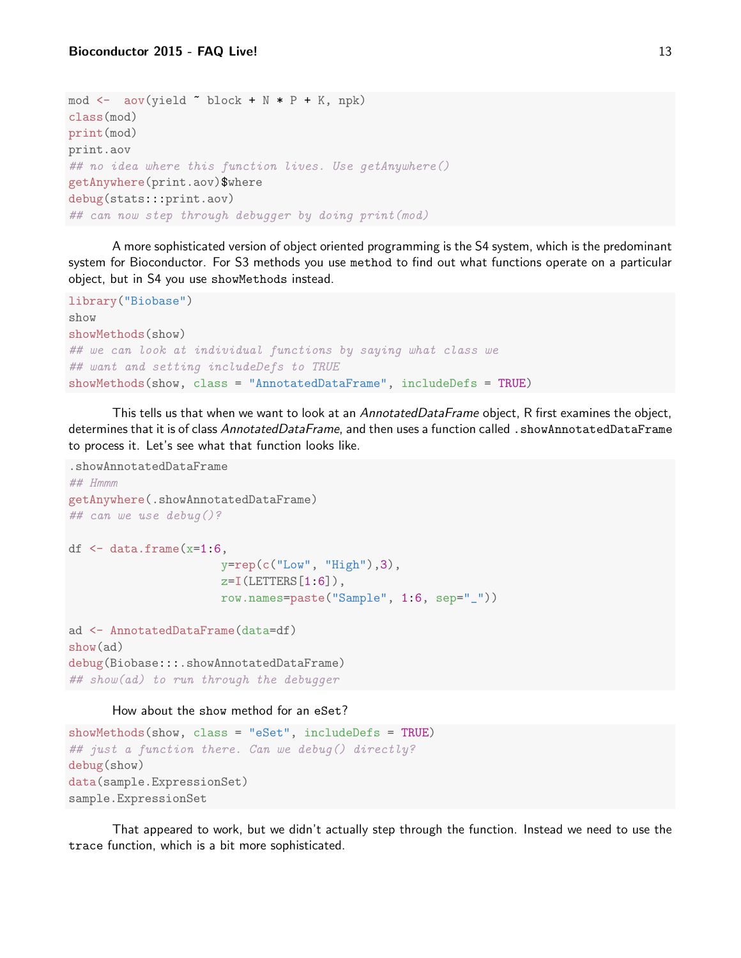```
mod \leq aov(yield \sim block + N * P + K, npk)
class(mod)
print(mod)
print.aov
## no idea where this function lives. Use getAnywhere()
getAnywhere(print.aov)$where
debug(stats:::print.aov)
## can now step through debugger by doing print(mod)
```
A more sophisticated version of object oriented programming is the S4 system, which is the predominant system for Bioconductor. For S3 methods you use method to find out what functions operate on a particular object, but in S4 you use showMethods instead.

```
library("Biobase")
show
showMethods(show)
## we can look at individual functions by saying what class we
## want and setting includeDefs to TRUE
showMethods(show, class = "AnnotatedDataFrame", includeDefs = TRUE)
```
This tells us that when we want to look at an AnnotatedDataFrame object, R first examines the object, determines that it is of class AnnotatedDataFrame, and then uses a function called . showAnnotatedDataFrame to process it. Let's see what that function looks like.

```
.showAnnotatedDataFrame
## Hmmm
getAnywhere(.showAnnotatedDataFrame)
## can we use debug()?
df \leq data.frame(x=1:6,y=rep(c("Low", "High"),3),
                      z=I(LETTERS[1:6]),row.names=paste("Sample", 1:6, sep="_"))
ad <- AnnotatedDataFrame(data=df)
show(ad)
debug(Biobase:::.showAnnotatedDataFrame)
## show(ad) to run through the debugger
```
#### How about the show method for an eSet?

```
showMethods(show, class = "eSet", includeDefs = TRUE)
## just a function there. Can we debug() directly?
debug(show)
data(sample.ExpressionSet)
sample.ExpressionSet
```
That appeared to work, but we didn't actually step through the function. Instead we need to use the trace function, which is a bit more sophisticated.